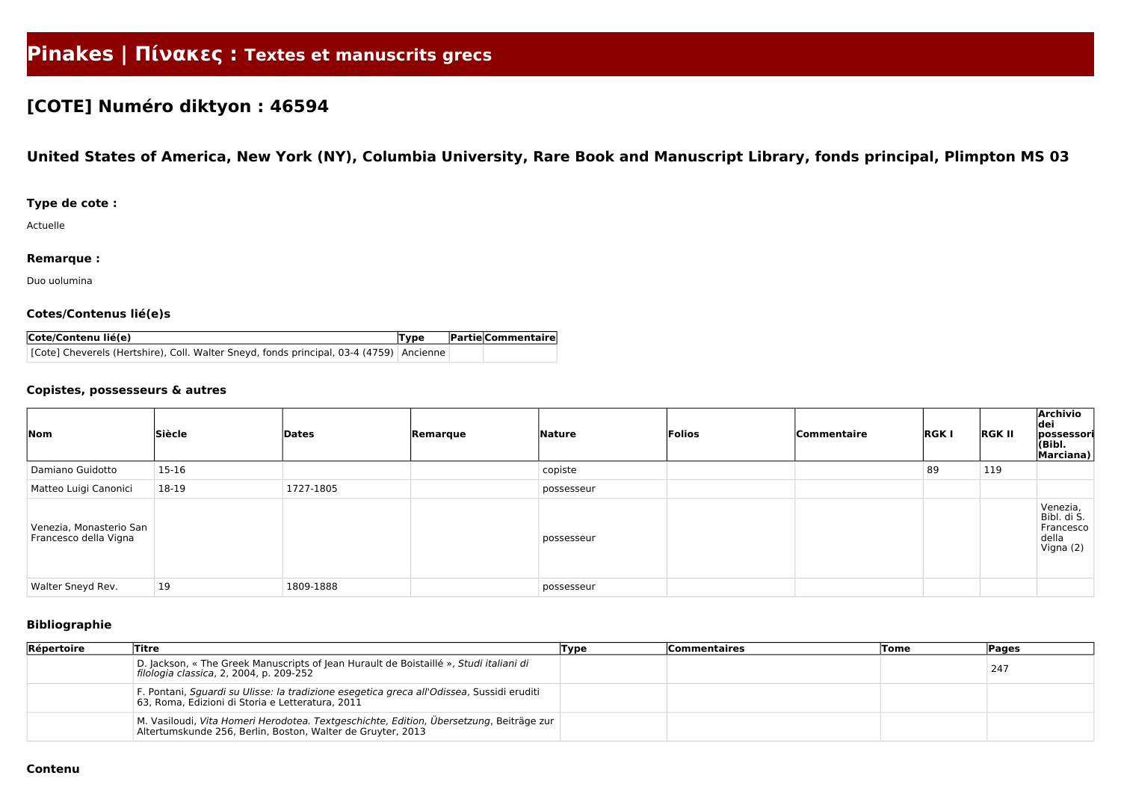# **Pinakes | Πίνακες : Textes et manuscrits grecs**

## **[COTE] Numéro diktyon : 46594**

### **United States of America, New York (NY), Columbia University, Rare Book and Manuscript Library, fonds principal, Plimpton MS 03**

#### **Type de cote :**

Actuelle

#### **Remarque :**

Duo uolumina

#### **Cotes/Contenus lié(e)s**

| Cote/Contenu lié(e)                                                                     | <b>Type</b> | <b>Partie Commentaire</b> |
|-----------------------------------------------------------------------------------------|-------------|---------------------------|
| [Cote] Cheverels (Hertshire), Coll. Walter Sneyd, fonds principal, 03-4 (4759) Ancienne |             |                           |

#### **Copistes, possesseurs & autres**

| $\sqrt{\frac{1}{10}}$                            | Siècle  | Dates     | Remarque | <b>Nature</b> | Folios | Commentaire | <b>RGKI</b> | <b>RGK II</b> | <b>Archivio</b><br>dei<br>possessori<br>(Bibl.<br>Marciana) |
|--------------------------------------------------|---------|-----------|----------|---------------|--------|-------------|-------------|---------------|-------------------------------------------------------------|
| Damiano Guidotto                                 | $15-16$ |           |          | copiste       |        |             | 89          | 119           |                                                             |
| Matteo Luigi Canonici                            | 18-19   | 1727-1805 |          | possesseur    |        |             |             |               |                                                             |
| Venezia, Monasterio San<br>Francesco della Vigna |         |           |          | possesseur    |        |             |             |               | Venezia,<br>Bibl. di S.<br>Francesco<br>della<br>Vigna (2)  |
| Walter Sneyd Rev.                                | 19      | 1809-1888 |          | possesseur    |        |             |             |               |                                                             |

#### **Bibliographie**

| Répertoire | <b>Titre</b>                                                                                                                                           | Type | <b>Commentaires</b> | <b>Tome</b> | <b>Pages</b> |
|------------|--------------------------------------------------------------------------------------------------------------------------------------------------------|------|---------------------|-------------|--------------|
|            | D. Jackson, « The Greek Manuscripts of Jean Hurault de Boistaillé », Studi italiani di<br>filologia classica, 2, 2004, p. 209-252                      |      |                     |             | 247          |
|            | F. Pontani, Sguardi su Ulisse: la tradizione esegetica greca all'Odissea, Sussidi eruditi<br>63, Roma, Edizioni di Storia e Letteratura, 2011          |      |                     |             |              |
|            | M. Vasiloudi, Vita Homeri Herodotea. Textgeschichte, Edition, Übersetzung, Beiträge zur<br>Altertumskunde 256, Berlin, Boston, Walter de Gruyter, 2013 |      |                     |             |              |